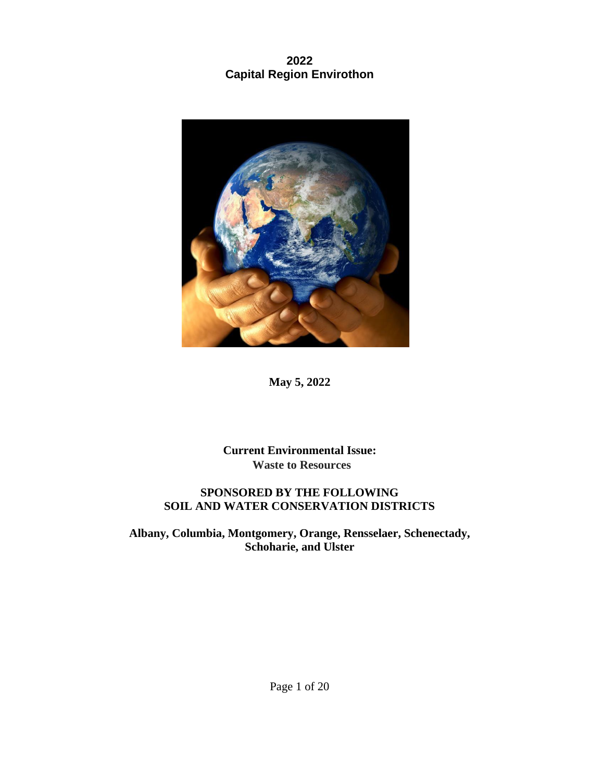# **2022 Capital Region Envirothon**



**May 5, 2022**

**Current Environmental Issue: Waste to Resources**

### **SPONSORED BY THE FOLLOWING SOIL AND WATER CONSERVATION DISTRICTS**

**Albany, Columbia, Montgomery, Orange, Rensselaer, Schenectady, Schoharie, and Ulster**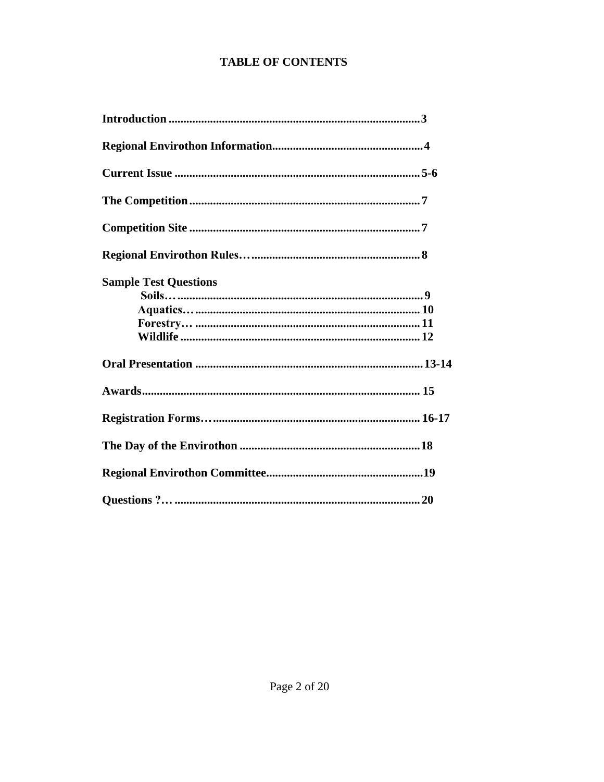# **TABLE OF CONTENTS**

| <b>Sample Test Questions</b> |
|------------------------------|
|                              |
|                              |
|                              |
|                              |
|                              |
|                              |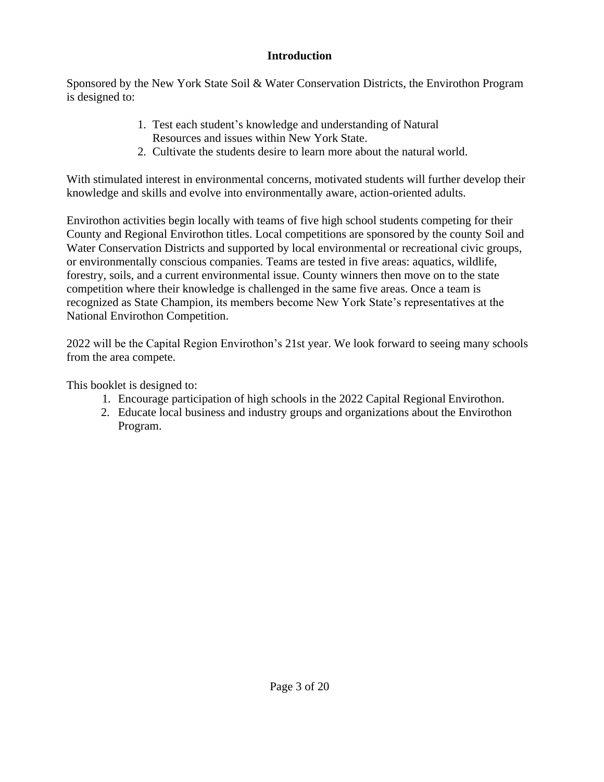### **Introduction**

<span id="page-2-0"></span>Sponsored by the New York State Soil & Water Conservation Districts, the Envirothon Program is designed to:

- 1. Test each student's knowledge and understanding of Natural Resources and issues within New York State.
- 2. Cultivate the students desire to learn more about the natural world.

With stimulated interest in environmental concerns, motivated students will further develop their knowledge and skills and evolve into environmentally aware, action-oriented adults.

Envirothon activities begin locally with teams of five high school students competing for their County and Regional Envirothon titles. Local competitions are sponsored by the county Soil and Water Conservation Districts and supported by local environmental or recreational civic groups, or environmentally conscious companies. Teams are tested in five areas: aquatics, wildlife, forestry, soils, and a current environmental issue. County winners then move on to the state competition where their knowledge is challenged in the same five areas. Once a team is recognized as State Champion, its members become New York State's representatives at the National Envirothon Competition.

2022 will be the Capital Region Envirothon's 21st year. We look forward to seeing many schools from the area compete.

This booklet is designed to:

- 1. Encourage participation of high schools in the 2022 Capital Regional Envirothon.
- 2. Educate local business and industry groups and organizations about the Envirothon Program.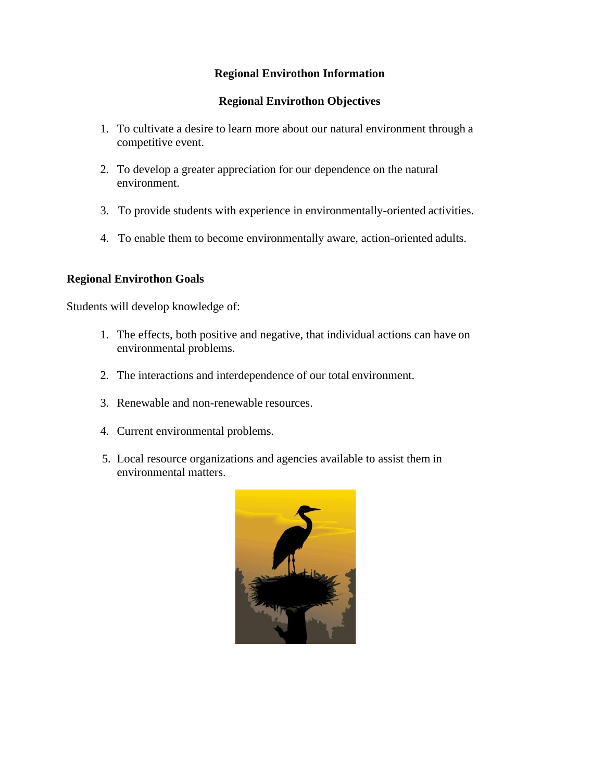### **Regional Envirothon Information**

#### **Regional Envirothon Objectives**

- <span id="page-3-0"></span>1. To cultivate a desire to learn more about our natural environment through a competitive event.
- 2. To develop a greater appreciation for our dependence on the natural environment.
- 3. To provide students with experience in environmentally-oriented activities.
- 4. To enable them to become environmentally aware, action-oriented adults.

#### **Regional Envirothon Goals**

Students will develop knowledge of:

- 1. The effects, both positive and negative, that individual actions can have on environmental problems.
- 2. The interactions and interdependence of our total environment.
- 3. Renewable and non-renewable resources.
- 4. Current environmental problems.
- 5. Local resource organizations and agencies available to assist them in environmental matters.

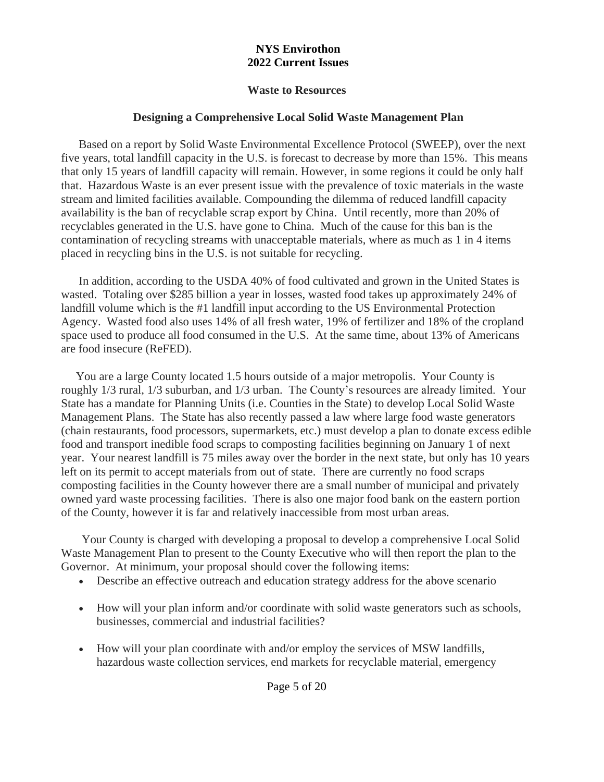### **NYS Envirothon 2022 Current Issues**

### **Waste to Resources**

### **Designing a Comprehensive Local Solid Waste Management Plan**

 Based on a report by Solid Waste Environmental Excellence Protocol (SWEEP), over the next five years, total landfill capacity in the U.S. is forecast to decrease by more than 15%. This means that only 15 years of landfill capacity will remain. However, in some regions it could be only half that. Hazardous Waste is an ever present issue with the prevalence of toxic materials in the waste stream and limited facilities available. Compounding the dilemma of reduced landfill capacity availability is the ban of recyclable scrap export by China. Until recently, more than 20% of recyclables generated in the U.S. have gone to China. Much of the cause for this ban is the contamination of recycling streams with unacceptable materials, where as much as 1 in 4 items placed in recycling bins in the U.S. is not suitable for recycling.

In addition, according to the USDA 40% of food cultivated and grown in the United States is wasted. Totaling over \$285 billion a year in losses, wasted food takes up approximately 24% of landfill volume which is the #1 landfill input according to the US Environmental Protection Agency. Wasted food also uses 14% of all fresh water, 19% of fertilizer and 18% of the cropland space used to produce all food consumed in the U.S. At the same time, about 13% of Americans are food insecure (ReFED).

You are a large County located 1.5 hours outside of a major metropolis. Your County is roughly 1/3 rural, 1/3 suburban, and 1/3 urban. The County's resources are already limited. Your State has a mandate for Planning Units (i.e. Counties in the State) to develop Local Solid Waste Management Plans. The State has also recently passed a law where large food waste generators (chain restaurants, food processors, supermarkets, etc.) must develop a plan to donate excess edible food and transport inedible food scraps to composting facilities beginning on January 1 of next year. Your nearest landfill is 75 miles away over the border in the next state, but only has 10 years left on its permit to accept materials from out of state. There are currently no food scraps composting facilities in the County however there are a small number of municipal and privately owned yard waste processing facilities. There is also one major food bank on the eastern portion of the County, however it is far and relatively inaccessible from most urban areas.

 Your County is charged with developing a proposal to develop a comprehensive Local Solid Waste Management Plan to present to the County Executive who will then report the plan to the Governor. At minimum, your proposal should cover the following items:

- Describe an effective outreach and education strategy address for the above scenario
- How will your plan inform and/or coordinate with solid waste generators such as schools, businesses, commercial and industrial facilities?
- How will your plan coordinate with and/or employ the services of MSW landfills, hazardous waste collection services, end markets for recyclable material, emergency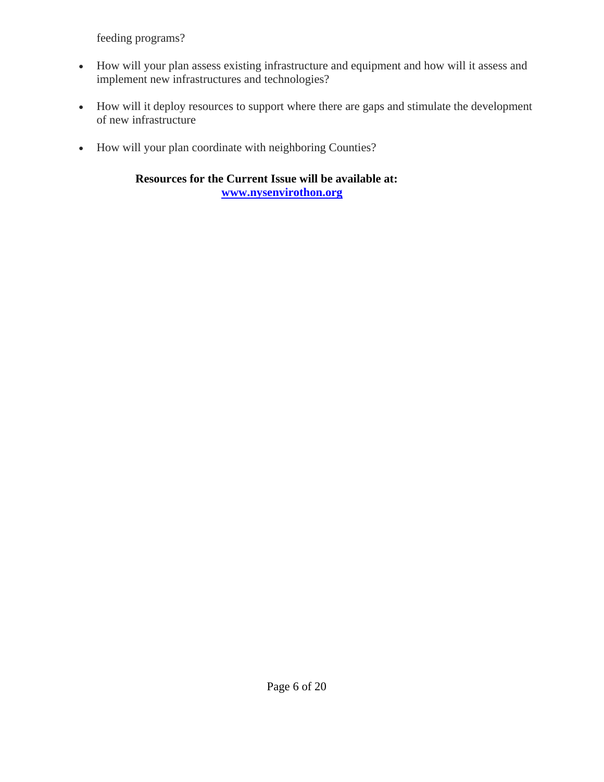feeding programs?

- How will your plan assess existing infrastructure and equipment and how will it assess and implement new infrastructures and technologies?
- How will it deploy resources to support where there are gaps and stimulate the development of new infrastructure
- How will your plan coordinate with neighboring Counties?

**Resources for the Current Issue will be available at: [www.nysenvirothon.org](http://www.nysenvirothon.org/)**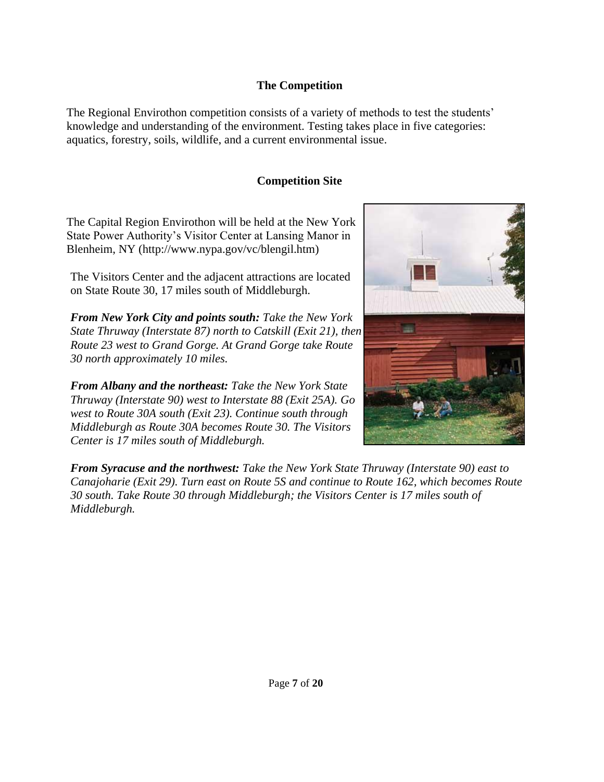### **The Competition**

<span id="page-6-0"></span>The Regional Envirothon competition consists of a variety of methods to test the students' knowledge and understanding of the environment. Testing takes place in five categories: aquatics, forestry, soils, wildlife, and a current environmental issue.

## **Competition Site**

<span id="page-6-1"></span>The Capital Region Envirothon will be held at the New York State Power Authority's Visitor Center at Lansing Manor in Blenheim, NY [\(http://www.nypa.gov/vc/blengil.htm\)](http://www.nypa.gov/vc/blengil.htm))

The Visitors Center and the adjacent attractions are located on State Route 30, 17 miles south of Middleburgh.

*From New York City and points south: Take the New York State Thruway (Interstate 87) north to Catskill (Exit 21), then Route 23 west to Grand Gorge. At Grand Gorge take Route 30 north approximately 10 miles.*

*From Albany and the northeast: Take the New York State Thruway (Interstate 90) west to Interstate 88 (Exit 25A). Go west to Route 30A south (Exit 23). Continue south through Middleburgh as Route 30A becomes Route 30. The Visitors Center is 17 miles south of Middleburgh.*



*From Syracuse and the northwest: Take the New York State Thruway (Interstate 90) east to Canajoharie (Exit 29). Turn east on Route 5S and continue to Route 162, which becomes Route 30 south. Take Route 30 through Middleburgh; the Visitors Center is 17 miles south of Middleburgh.*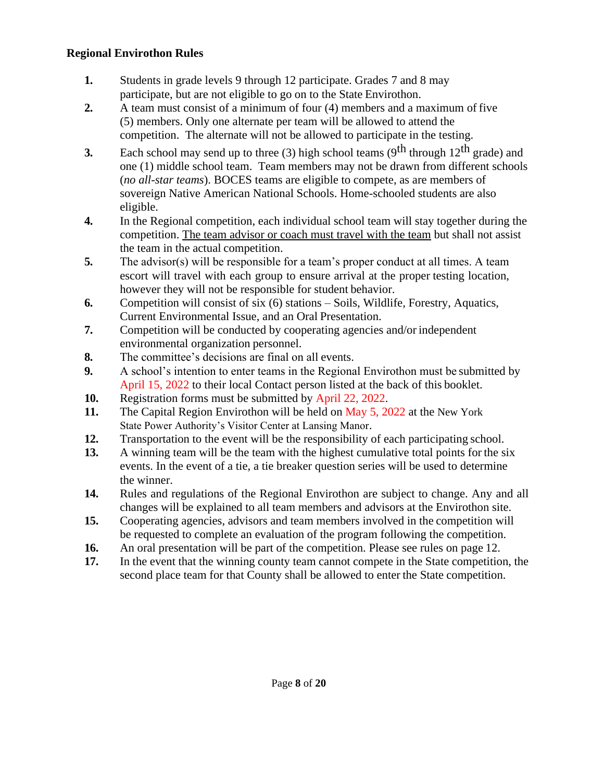### <span id="page-7-0"></span>**Regional Envirothon Rules**

- **1.** Students in grade levels 9 through 12 participate. Grades 7 and 8 may participate, but are not eligible to go on to the State Envirothon.
- **2.** A team must consist of a minimum of four (4) members and a maximum of five (5) members. Only one alternate per team will be allowed to attend the competition. The alternate will not be allowed to participate in the testing.
- **3.** Each school may send up to three (3) high school teams ( $9<sup>th</sup>$  through  $12<sup>th</sup>$  grade) and one (1) middle school team. Team members may not be drawn from different schools (*no all-star teams*). BOCES teams are eligible to compete, as are members of sovereign Native American National Schools. Home-schooled students are also eligible.
- **4.** In the Regional competition, each individual school team will stay together during the competition. The team advisor or coach must travel with the team but shall not assist the team in the actual competition.
- **5.** The advisor(s) will be responsible for a team's proper conduct at all times. A team escort will travel with each group to ensure arrival at the proper testing location, however they will not be responsible for student behavior.
- **6.** Competition will consist of six (6) stations Soils, Wildlife, Forestry, Aquatics, Current Environmental Issue, and an Oral Presentation.
- **7.** Competition will be conducted by cooperating agencies and/or independent environmental organization personnel.
- **8.** The committee's decisions are final on all events.
- **9.** A school's intention to enter teams in the Regional Envirothon must be submitted by April 15, 2022 to their local Contact person listed at the back of this booklet.
- **10.** Registration forms must be submitted by April 22, 2022.
- **11.** The Capital Region Envirothon will be held on May 5, 2022 at the New York State Power Authority's Visitor Center at Lansing Manor.
- **12.** Transportation to the event will be the responsibility of each participating school.
- **13.** A winning team will be the team with the highest cumulative total points for the six events. In the event of a tie, a tie breaker question series will be used to determine the winner.
- **14.** Rules and regulations of the Regional Envirothon are subject to change. Any and all changes will be explained to all team members and advisors at the Envirothon site.
- **15.** Cooperating agencies, advisors and team members involved in the competition will be requested to complete an evaluation of the program following the competition.
- **16.** An oral presentation will be part of the competition. Please see rules on page 12.
- **17.** In the event that the winning county team cannot compete in the State competition, the second place team for that County shall be allowed to enter the State competition.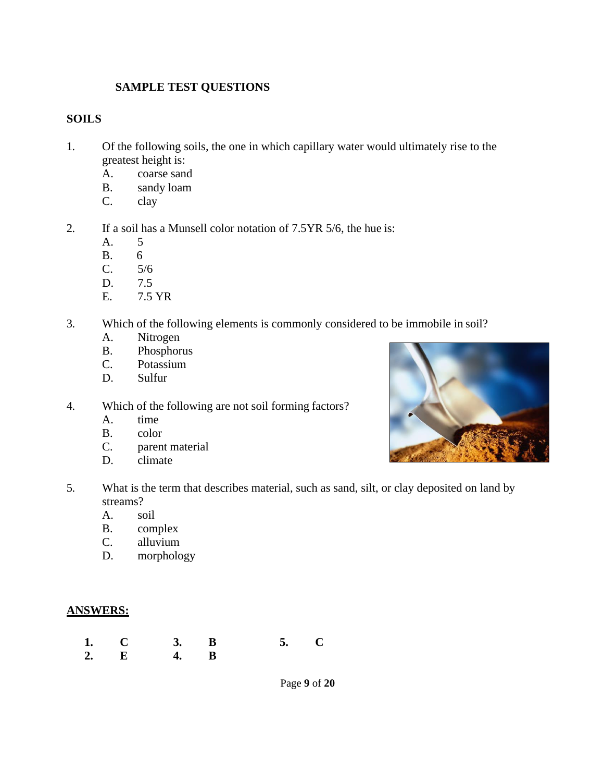### **SAMPLE TEST QUESTIONS**

### <span id="page-8-1"></span><span id="page-8-0"></span>**SOILS**

- 1. Of the following soils, the one in which capillary water would ultimately rise to the greatest height is:
	- A. coarse sand
	- B. sandy loam
	- C. clay
- 2. If a soil has a Munsell color notation of 7.5YR 5/6, the hue is:
	- A. 5
	- B. 6
	- C. 5/6
	- D. 7.5
	- E. 7.5 YR
- 3. Which of the following elements is commonly considered to be immobile in soil?
	- A. Nitrogen
	- B. Phosphorus
	- C. Potassium
	- D. Sulfur
- 4. Which of the following are not soil forming factors?
	- A. time
	- B. color
	- C. parent material
	- D. climate
- 5. What is the term that describes material, such as sand, silt, or clay deposited on land by streams?
	- A. soil
	- B. complex
	- C. alluvium
	- D. morphology

#### **ANSWERS:**

**1. C 3. B 5. C 2. E 4. B**



Page **9** of **20**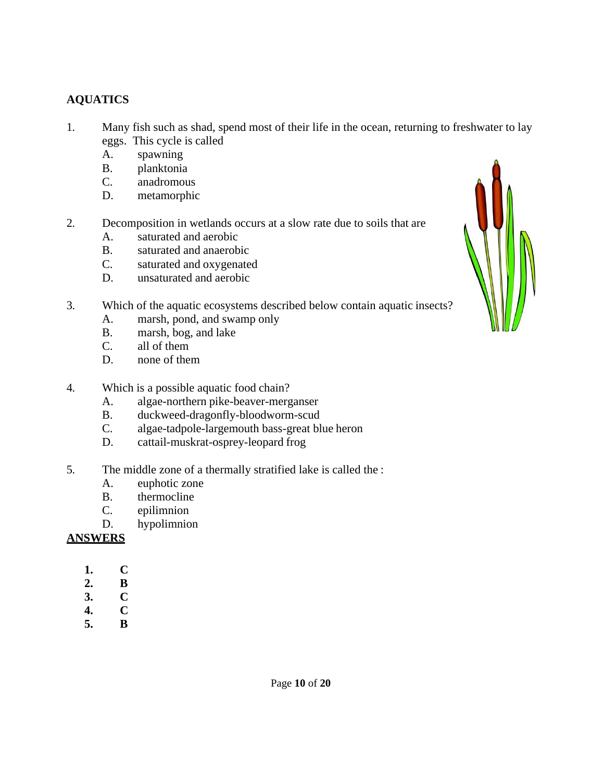# <span id="page-9-0"></span>**AQUATICS**

- 1. Many fish such as shad, spend most of their life in the ocean, returning to freshwater to lay eggs. This cycle is called
	- A. spawning
	- B. planktonia
	- C. anadromous
	- D. metamorphic
- 2. Decomposition in wetlands occurs at a slow rate due to soils that are
	- A. saturated and aerobic
	- B. saturated and anaerobic
	- C. saturated and oxygenated
	- D. unsaturated and aerobic
- 3. Which of the aquatic ecosystems described below contain aquatic insects?
	- A. marsh, pond, and swamp only
	- B. marsh, bog, and lake
	- C. all of them
	- D. none of them
- 4. Which is a possible aquatic food chain?
	- A. algae-northern pike-beaver-merganser
	- B. duckweed-dragonfly-bloodworm-scud
	- C. algae-tadpole-largemouth bass-great blue heron
	- D. cattail-muskrat-osprey-leopard frog
- 5. The middle zone of a thermally stratified lake is called the :
	- A. euphotic zone
	- B. thermocline
	- C. epilimnion
	- D. hypolimnion

# **ANSWERS**

- **1. C**
- **2. B**
- **3. C**
- **4. C**
- **5. B**

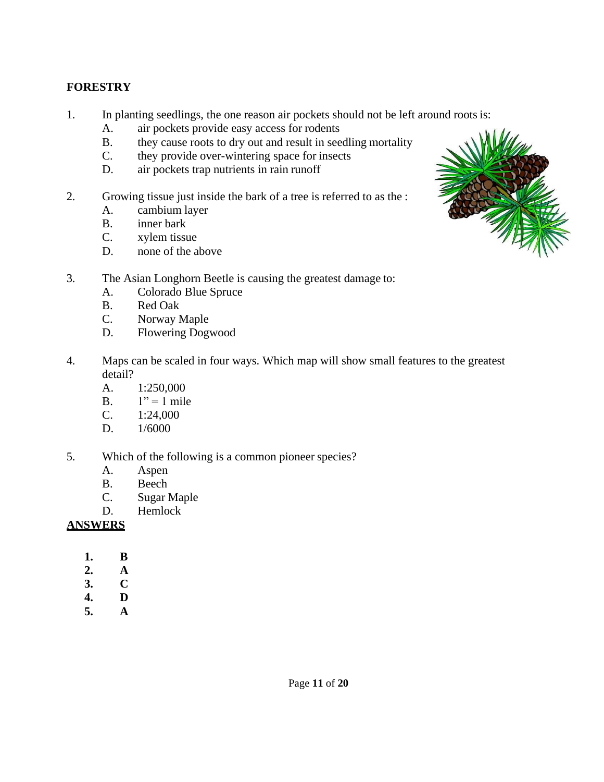# <span id="page-10-0"></span>**FORESTRY**

- 1. In planting seedlings, the one reason air pockets should not be left around roots is:
	- A. air pockets provide easy access for rodents
	- B. they cause roots to dry out and result in seedling mortality
	- C. they provide over-wintering space for insects
	- D. air pockets trap nutrients in rain runoff
- 2. Growing tissue just inside the bark of a tree is referred to as the :
	- A. cambium layer
	- B. inner bark
	- C. xylem tissue
	- D. none of the above
- 3. The Asian Longhorn Beetle is causing the greatest damage to:
	- A. Colorado Blue Spruce
	- B. Red Oak
	- C. Norway Maple
	- D. Flowering Dogwood
- 4. Maps can be scaled in four ways. Which map will show small features to the greatest detail?
	- A. 1:250,000
	- B.  $1" = 1$  mile
	- C. 1:24,000
	- D. 1/6000
- 5. Which of the following is a common pioneer species?
	- A. Aspen
	- B. Beech
	- C. Sugar Maple
	- D. Hemlock

# **ANSWERS**

- **1. B**
- **2. A**
- **3. C**
- **4. D**
- **5. A**

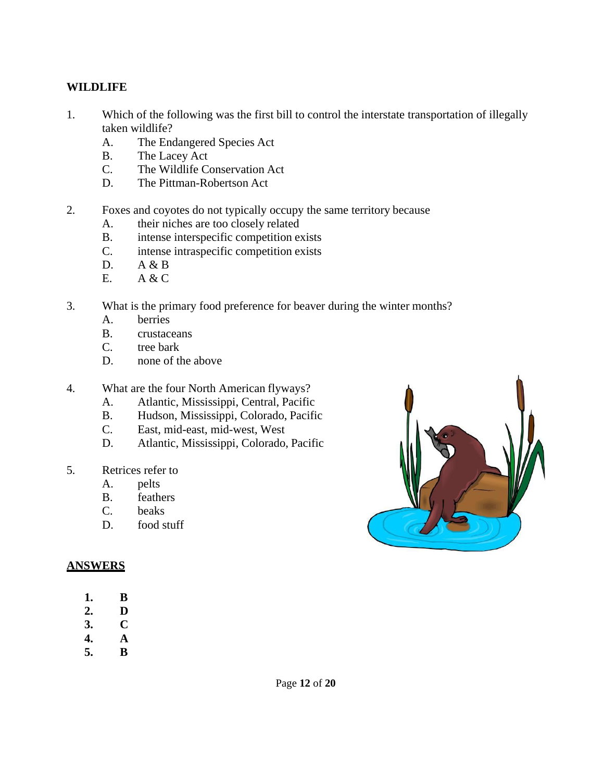### <span id="page-11-0"></span>**WILDLIFE**

- 1. Which of the following was the first bill to control the interstate transportation of illegally taken wildlife?
	- A. The Endangered Species Act
	- B. The Lacey Act
	- C. The Wildlife Conservation Act
	- D. The Pittman-Robertson Act
- 2. Foxes and coyotes do not typically occupy the same territory because
	- A. their niches are too closely related
	- B. intense interspecific competition exists
	- C. intense intraspecific competition exists
	- D.  $A & B$
	- E. A & C
- 3. What is the primary food preference for beaver during the winter months?
	- A. berries
	- B. crustaceans
	- C. tree bark
	- D. none of the above
- 4. What are the four North American flyways?
	- A. Atlantic, Mississippi, Central, Pacific
	- B. Hudson, Mississippi, Colorado, Pacific
	- C. East, mid-east, mid-west, West
	- D. Atlantic, Mississippi, Colorado, Pacific
- 5. Retrices refer to
	- A. pelts
	- B. feathers
	- C. beaks
	- D. food stuff

### **ANSWERS**

- **1. B**
- **2. D**
- **3. C**
- **4. A**
- **5. B**

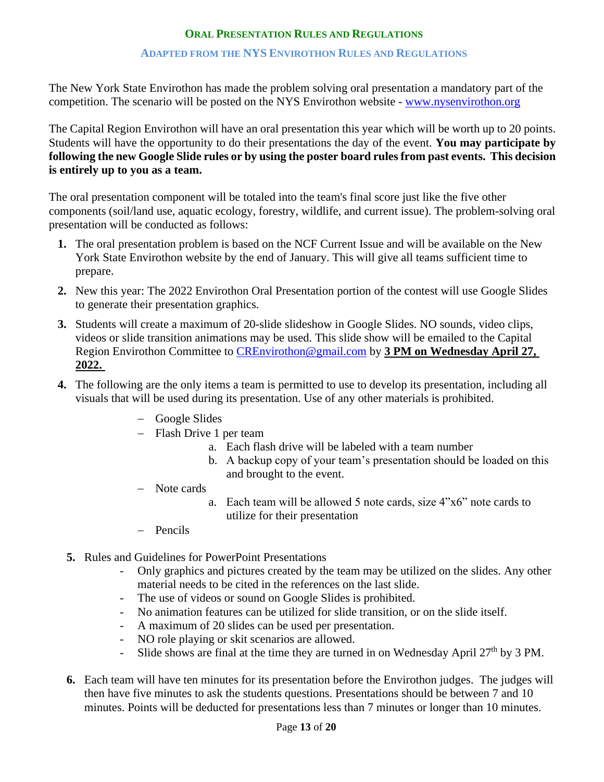### **ORAL PRESENTATION RULES AND REGULATIONS**

#### **ADAPTED FROM THE NYS ENVIROTHON RULES AND REGULATIONS**

<span id="page-12-0"></span>The New York State Envirothon has made the problem solving oral presentation a mandatory part of the competition. The scenario will be posted on the NYS Envirothon website - [www.nysenvirothon.org](http://www.nysenvirothon.org/)

The Capital Region Envirothon will have an oral presentation this year which will be worth up to 20 points. Students will have the opportunity to do their presentations the day of the event. **You may participate by following the new Google Slide rules or by using the poster board rules from past events. This decision is entirely up to you as a team.**

The oral presentation component will be totaled into the team's final score just like the five other components (soil/land use, aquatic ecology, forestry, wildlife, and current issue). The problem-solving oral presentation will be conducted as follows:

- **1.** The oral presentation problem is based on the NCF Current Issue and will be available on the New York State Envirothon website by the end of January. This will give all teams sufficient time to prepare.
- **2.** New this year: The 2022 Envirothon Oral Presentation portion of the contest will use Google Slides to generate their presentation graphics.
- **3.** Students will create a maximum of 20-slide slideshow in Google Slides. NO sounds, video clips, videos or slide transition animations may be used. This slide show will be emailed to the Capital Region Envirothon Committee to [CREnvirothon@gmail.com](mailto:CREnvirothon@gmail.com) by **3 PM on Wednesday April 27, 2022.**
- **4.** The following are the only items a team is permitted to use to develop its presentation, including all visuals that will be used during its presentation. Use of any other materials is prohibited.
	- − Google Slides
	- − Flash Drive 1 per team
		- a. Each flash drive will be labeled with a team number
		- b. A backup copy of your team's presentation should be loaded on this and brought to the event.
	- − Note cards
		- a. Each team will be allowed 5 note cards, size 4"x6" note cards to utilize for their presentation
	- − Pencils
	- **5.** Rules and Guidelines for PowerPoint Presentations
		- Only graphics and pictures created by the team may be utilized on the slides. Any other material needs to be cited in the references on the last slide.
		- The use of videos or sound on Google Slides is prohibited.
		- No animation features can be utilized for slide transition, or on the slide itself.
		- A maximum of 20 slides can be used per presentation.
		- NO role playing or skit scenarios are allowed.
		- Slide shows are final at the time they are turned in on Wednesday April  $27<sup>th</sup>$  by 3 PM.
	- **6.** Each team will have ten minutes for its presentation before the Envirothon judges. The judges will then have five minutes to ask the students questions. Presentations should be between 7 and 10 minutes. Points will be deducted for presentations less than 7 minutes or longer than 10 minutes.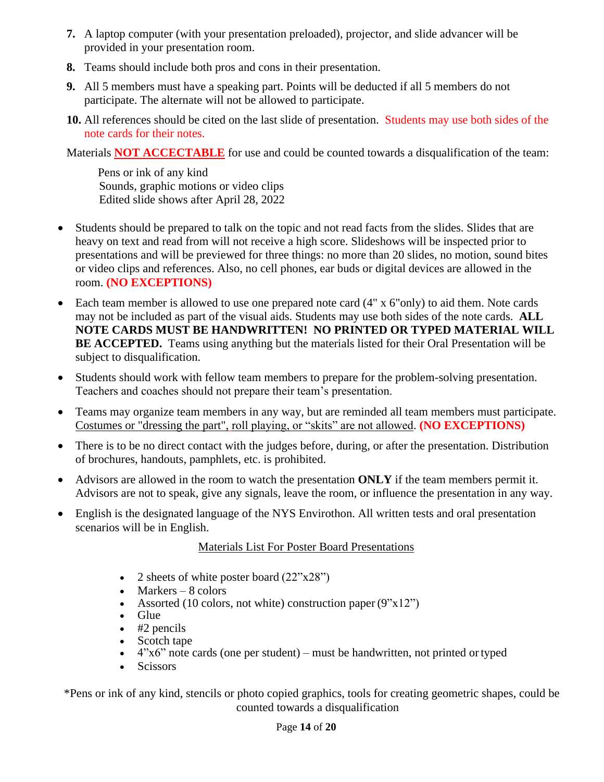- **7.** A laptop computer (with your presentation preloaded), projector, and slide advancer will be provided in your presentation room.
- **8.** Teams should include both pros and cons in their presentation.
- **9.** All 5 members must have a speaking part. Points will be deducted if all 5 members do not participate. The alternate will not be allowed to participate.
- **10.** All references should be cited on the last slide of presentation. Students may use both sides of the note cards for their notes.

Materials **NOT ACCECTABLE** for use and could be counted towards a disqualification of the team:

 Pens or ink of any kind Sounds, graphic motions or video clips Edited slide shows after April 28, 2022

- Students should be prepared to talk on the topic and not read facts from the slides. Slides that are heavy on text and read from will not receive a high score. Slideshows will be inspected prior to presentations and will be previewed for three things: no more than 20 slides, no motion, sound bites or video clips and references. Also, no cell phones, ear buds or digital devices are allowed in the room. **(NO EXCEPTIONS)**
- Each team member is allowed to use one prepared note card (4" x 6"only) to aid them. Note cards may not be included as part of the visual aids. Students may use both sides of the note cards. **ALL NOTE CARDS MUST BE HANDWRITTEN! NO PRINTED OR TYPED MATERIAL WILL BE ACCEPTED.** Teams using anything but the materials listed for their Oral Presentation will be subject to disqualification.
- Students should work with fellow team members to prepare for the problem-solving presentation. Teachers and coaches should not prepare their team's presentation.
- Teams may organize team members in any way, but are reminded all team members must participate. Costumes or "dressing the part", roll playing, or "skits" are not allowed. **(NO EXCEPTIONS)**
- There is to be no direct contact with the judges before, during, or after the presentation. Distribution of brochures, handouts, pamphlets, etc. is prohibited.
- Advisors are allowed in the room to watch the presentation **ONLY** if the team members permit it. Advisors are not to speak, give any signals, leave the room, or influence the presentation in any way.
- English is the designated language of the NYS Envirothon. All written tests and oral presentation scenarios will be in English.

# Materials List For Poster Board Presentations

- 2 sheets of white poster board  $(22"x28")$
- Markers  $-8$  colors
- Assorted (10 colors, not white) construction paper  $(9"x12")$
- Glue
- $\bullet$  #2 pencils
- Scotch tape
- $\bullet$  4"x6" note cards (one per student) must be handwritten, not printed or typed
- Scissors

\*Pens or ink of any kind, stencils or photo copied graphics, tools for creating geometric shapes, could be counted towards a disqualification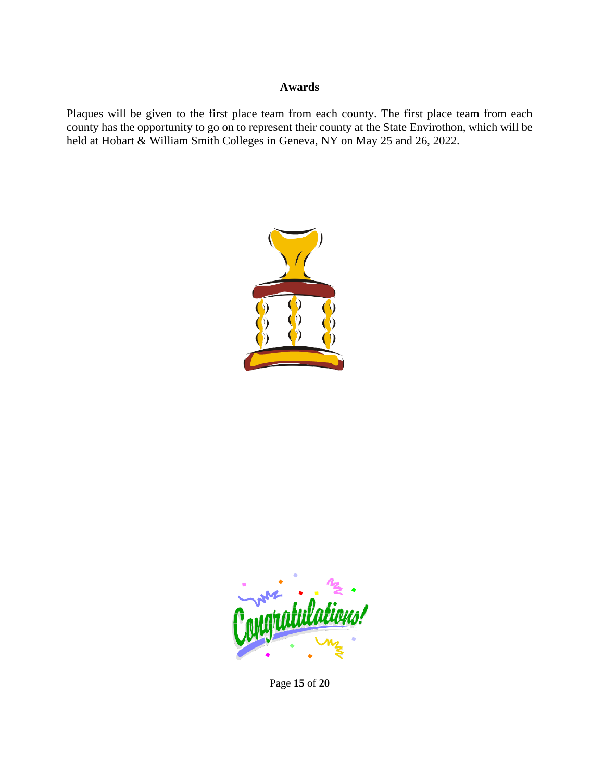#### **Awards**

<span id="page-14-0"></span>Plaques will be given to the first place team from each county. The first place team from each county has the opportunity to go on to represent their county at the State Envirothon, which will be held at Hobart & William Smith Colleges in Geneva, NY on May 25 and 26, 2022.





Page **15** of **20**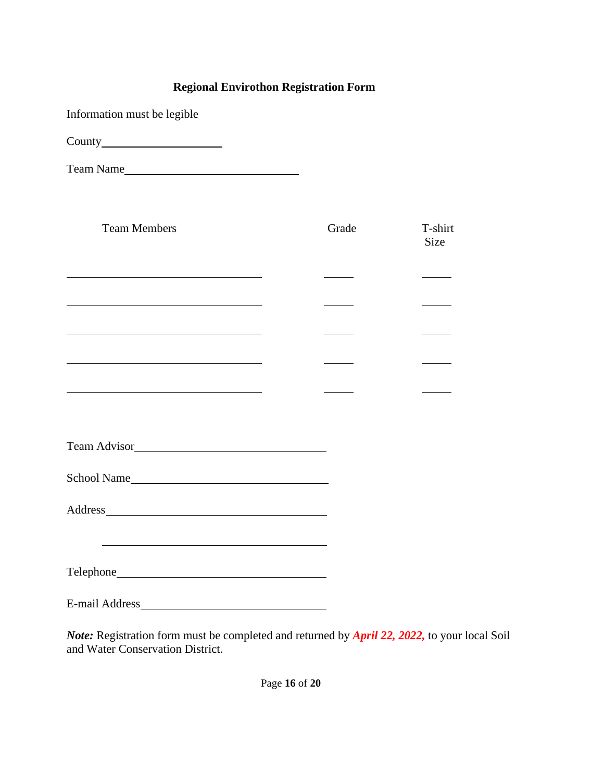# **Regional Envirothon Registration Form**

Information must be legible

County

Team Name

| <b>Team Members</b>                                                                                                   | Grade | T-shirt<br>Size |
|-----------------------------------------------------------------------------------------------------------------------|-------|-----------------|
| <u> 1989 - Johann Stein, marwolaethau a bhann an t-Amhair ann an t-Amhair an t-Amhair an t-Amhair an t-Amhair an</u>  |       |                 |
| the contract of the contract of the contract of the contract of the contract of                                       |       |                 |
| <u> 1980 - Johann Barbara, martxa alemaniar arg</u>                                                                   |       |                 |
| the control of the control of the control of the control of the control of the control of                             |       |                 |
| <u> 1989 - Johann John Stein, markin fan it ferstjer fan de ferstjer fan it ferstjer fan it ferstjer fan it fers</u>  |       |                 |
|                                                                                                                       |       |                 |
| School Name                                                                                                           |       |                 |
|                                                                                                                       |       |                 |
| <u> 1989 - Johann Stoff, deutscher Stoff, der Stoff, der Stoff, der Stoff, der Stoff, der Stoff, der Stoff, der S</u> |       |                 |
|                                                                                                                       |       |                 |
| <b>E-mail Address</b>                                                                                                 |       |                 |

*Note:* Registration form must be completed and returned by *April 22, 2022,* to your local Soil and Water Conservation District.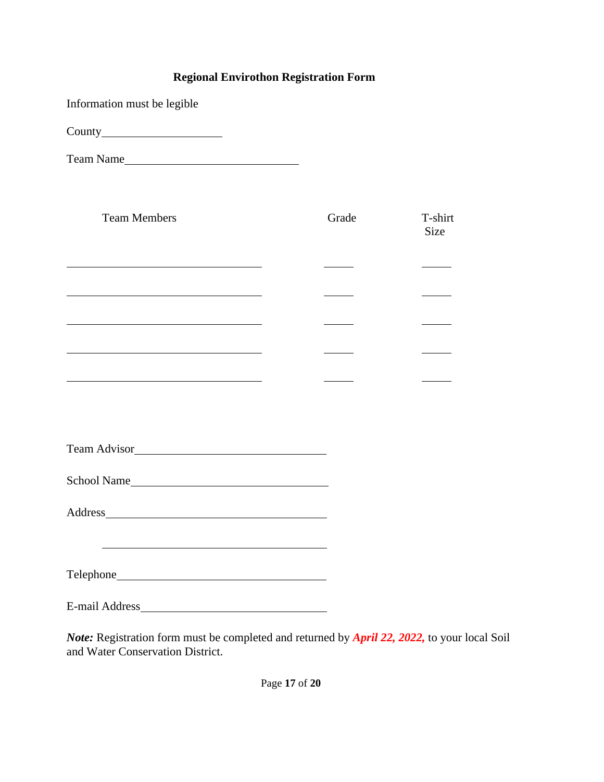# **Regional Envirothon Registration Form**

Information must be legible

County

Team Name

| <b>Team Members</b>                                                                                                   | Grade | T-shirt<br><b>Size</b> |
|-----------------------------------------------------------------------------------------------------------------------|-------|------------------------|
| the control of the control of the control of the control of the control of the control of                             |       |                        |
| the contract of the contract of the contract of the contract of the contract of                                       |       |                        |
| <u> 1989 - Johann Barn, mars ann an t-Amhain Aonaich an t-Aonaich an t-Aonaich ann an t-Aonaich ann an t-Aonaich</u>  |       |                        |
| <u> 1989 - Johann Stoff, deutscher Stoff, der Stoff, der Stoff, der Stoff, der Stoff, der Stoff, der Stoff, der S</u> |       |                        |
| <u> 1989 - Johann Barn, mars et al. 1989 - Anna ann an t-Anna ann an t-Anna ann an t-Anna ann an t-Anna ann an t-</u> |       |                        |
|                                                                                                                       |       |                        |
|                                                                                                                       |       |                        |
|                                                                                                                       |       |                        |
|                                                                                                                       |       |                        |
|                                                                                                                       |       |                        |
|                                                                                                                       |       |                        |
| <b>E-mail Address</b>                                                                                                 |       |                        |

*Note:* Registration form must be completed and returned by *April 22, 2022,* to your local Soil and Water Conservation District.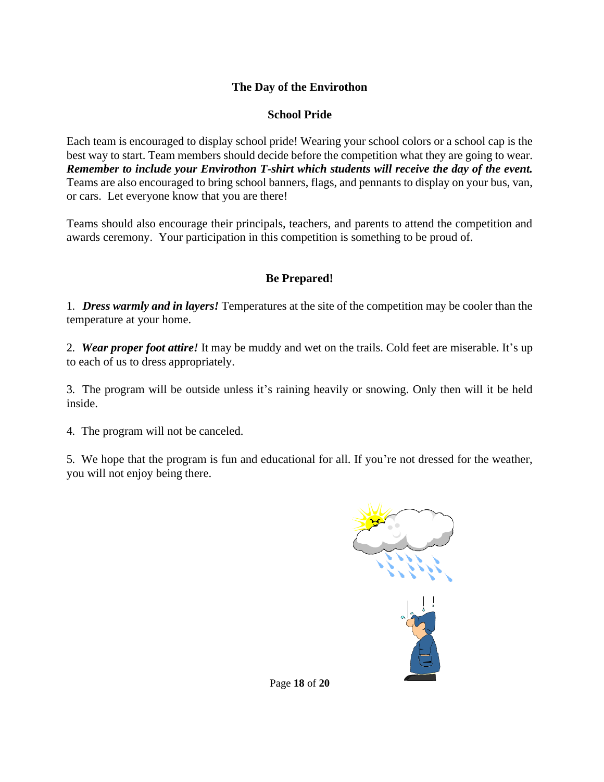### <span id="page-17-0"></span>**The Day of the Envirothon**

### **School Pride**

Each team is encouraged to display school pride! Wearing your school colors or a school cap is the best way to start. Team members should decide before the competition what they are going to wear. *Remember to include your Envirothon T-shirt which students will receive the day of the event.*  Teams are also encouraged to bring school banners, flags, and pennants to display on your bus, van, or cars. Let everyone know that you are there!

Teams should also encourage their principals, teachers, and parents to attend the competition and awards ceremony. Your participation in this competition is something to be proud of.

### **Be Prepared!**

1. *Dress warmly and in layers!* Temperatures at the site of the competition may be cooler than the temperature at your home.

2. *Wear proper foot attire!* It may be muddy and wet on the trails. Cold feet are miserable. It's up to each of us to dress appropriately.

3. The program will be outside unless it's raining heavily or snowing. Only then will it be held inside.

4. The program will not be canceled.

5. We hope that the program is fun and educational for all. If you're not dressed for the weather, you will not enjoy being there.



Page **18** of **20**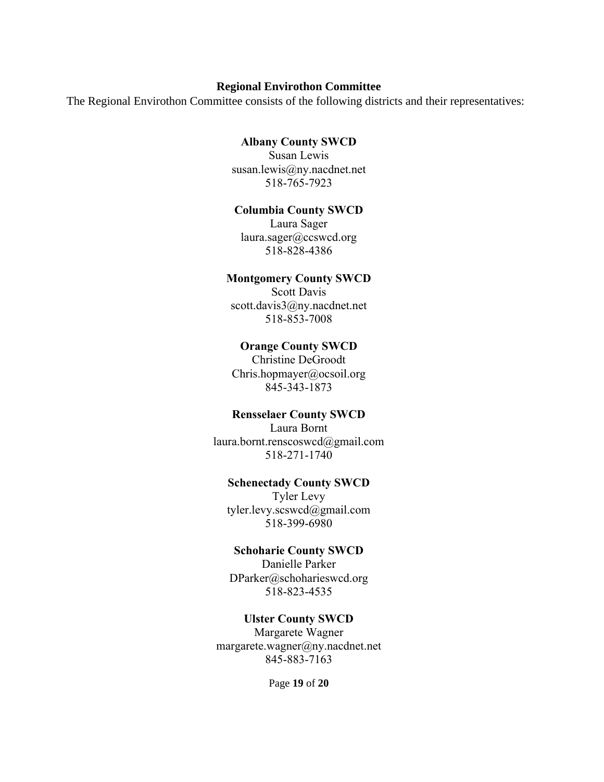#### **Regional Envirothon Committee**

<span id="page-18-0"></span>The Regional Envirothon Committee consists of the following districts and their representatives:

#### **Albany County SWCD**

Susan Lewis susan.lewis@ny.nacdnet.net 518-765-7923

#### **Columbia County SWCD**

Laura Sager laura.sager@ccswcd.org 518-828-4386

#### **Montgomery County SWCD**

Scott Davis scott.davis3@ny.nacdnet.net 518-853-7008

#### **Orange County SWCD**

Christine DeGroodt Chris.hopmayer@ocsoil.org 845-343-1873

#### **Rensselaer County SWCD**

Laura Bornt laura.bornt.renscoswcd@gmail.com 518-271-1740

#### **Schenectady County SWCD**

Tyler Levy tyler.levy.scswcd@gmail.com 518-399-6980

# **Schoharie County SWCD**

Danielle Parker DParker@schoharieswcd.org 518-823-4535

#### **Ulster County SWCD**

Margarete Wagner margarete.wagner@ny.nacdnet.net 845-883-7163

Page **19** of **20**